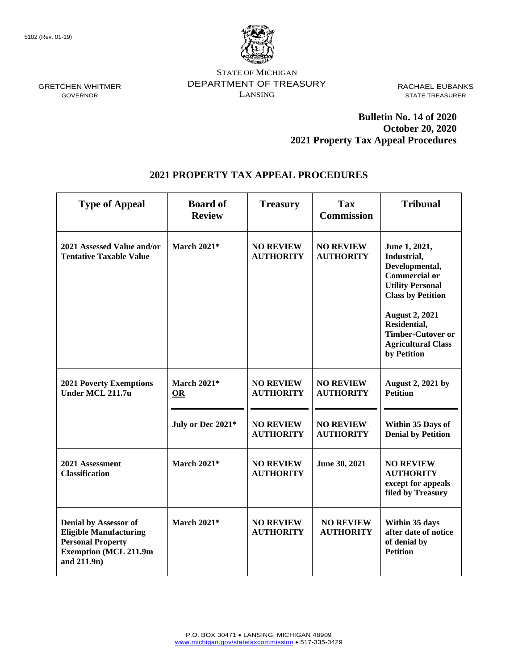

STATE OF MICHIGAN DEPARTMENT OF TREASURY LANSING

RACHAEL EUBANKS STATE TREASURER

## **Bulletin No. 14 of 2020 October 20, 2020 2021 Property Tax Appeal Procedures**

## **2021 PROPERTY TAX APPEAL PROCEDURES**

| <b>Type of Appeal</b>                                                                                                                    | <b>Board of</b><br><b>Review</b> | <b>Treasury</b>                      | <b>Tax</b><br><b>Commission</b>      | <b>Tribunal</b>                                                                                                                                                                                                                                |
|------------------------------------------------------------------------------------------------------------------------------------------|----------------------------------|--------------------------------------|--------------------------------------|------------------------------------------------------------------------------------------------------------------------------------------------------------------------------------------------------------------------------------------------|
| 2021 Assessed Value and/or<br><b>Tentative Taxable Value</b>                                                                             | <b>March 2021*</b>               | <b>NO REVIEW</b><br><b>AUTHORITY</b> | <b>NO REVIEW</b><br><b>AUTHORITY</b> | June 1, 2021,<br>Industrial,<br>Developmental,<br><b>Commercial or</b><br><b>Utility Personal</b><br><b>Class by Petition</b><br><b>August 2, 2021</b><br>Residential,<br><b>Timber-Cutover or</b><br><b>Agricultural Class</b><br>by Petition |
| <b>2021 Poverty Exemptions</b><br>Under MCL 211.7u                                                                                       | <b>March 2021*</b><br><b>OR</b>  | <b>NO REVIEW</b><br><b>AUTHORITY</b> | <b>NO REVIEW</b><br><b>AUTHORITY</b> | <b>August 2, 2021 by</b><br><b>Petition</b>                                                                                                                                                                                                    |
|                                                                                                                                          | July or Dec 2021*                | <b>NO REVIEW</b><br><b>AUTHORITY</b> | <b>NO REVIEW</b><br><b>AUTHORITY</b> | Within 35 Days of<br><b>Denial by Petition</b>                                                                                                                                                                                                 |
| 2021 Assessment<br><b>Classification</b>                                                                                                 | <b>March 2021*</b>               | <b>NO REVIEW</b><br><b>AUTHORITY</b> | June 30, 2021                        | <b>NO REVIEW</b><br><b>AUTHORITY</b><br>except for appeals<br>filed by Treasury                                                                                                                                                                |
| <b>Denial by Assessor of</b><br><b>Eligible Manufacturing</b><br><b>Personal Property</b><br><b>Exemption (MCL 211.9m</b><br>and 211.9n) | <b>March 2021*</b>               | <b>NO REVIEW</b><br><b>AUTHORITY</b> | <b>NO REVIEW</b><br><b>AUTHORITY</b> | Within 35 days<br>after date of notice<br>of denial by<br><b>Petition</b>                                                                                                                                                                      |

GRETCHEN WHITMER GOVERNOR